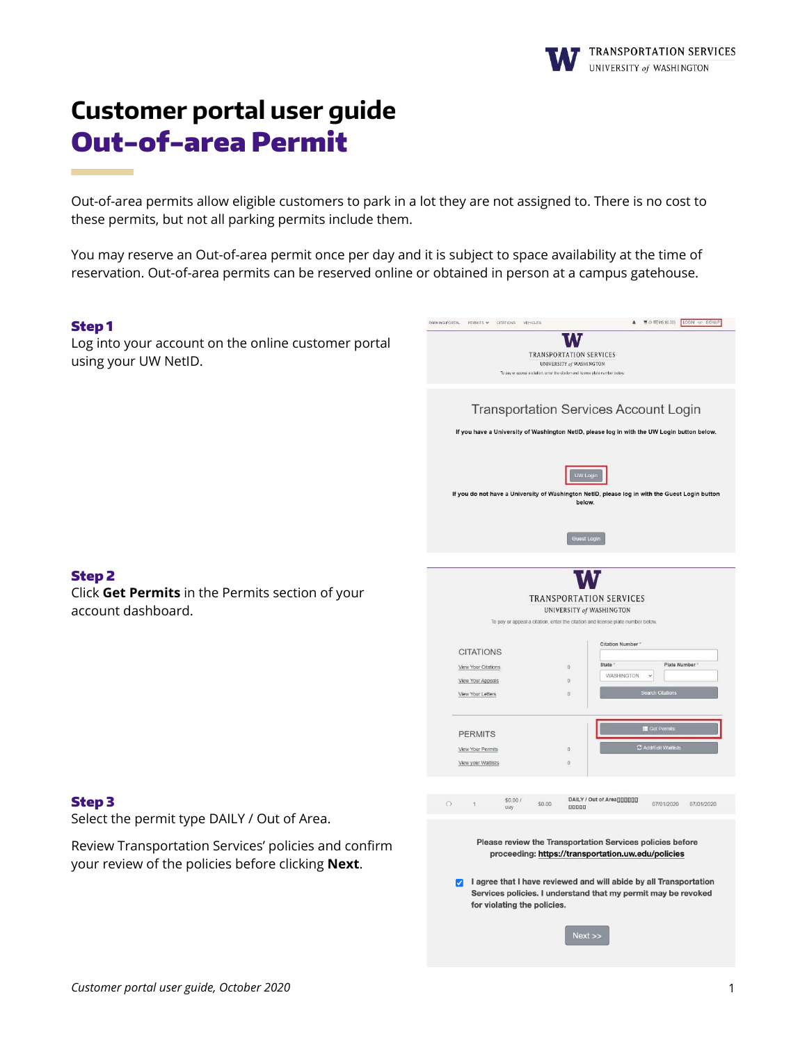

# **Customer portal user guide** Out-of-area Permit

Out-of-area permits allow eligible customers to park in a lot they are not assigned to. There is no cost to these permits, but not all parking permits include them.

You may reserve an Out-of-area permit once per day and it is subject to space availability at the time of reservation. Out-of-area permits can be reserved online or obtained in person at a campus gatehouse.

#### Step 1

Log into your account on the online customer portal using your UW NetID.

| <b>TRANSPORTATION SERVICES</b><br><b>UNIVERSITY of WASHINGTON</b><br>To pay or appeal a citation, enter the citation and license plate number below.                                                                                                                                                                                                                               |
|------------------------------------------------------------------------------------------------------------------------------------------------------------------------------------------------------------------------------------------------------------------------------------------------------------------------------------------------------------------------------------|
| <b>Transportation Services Account Login</b><br>If you have a University of Washington NetID, please log in with the UW Login button below.                                                                                                                                                                                                                                        |
| UW Login<br>If you do not have a University of Washington NetID, please log in with the Guest Login button<br>below.<br>Guest Login                                                                                                                                                                                                                                                |
|                                                                                                                                                                                                                                                                                                                                                                                    |
| <b>TRANSPORTATION SERVICES</b><br>UNIVERSITY of WASHINGTON<br>To pay or appeal a citation, enter the citation and license plate number below.<br>Citation Number *<br><b>CITATIONS</b><br>State 1<br>Plate Number<br>View Your Citations<br>$\mathbf{0}$<br>WASHINGTON<br>$\checkmark$<br>View Your Appeals<br>$\Omega$<br><b>Search Citations</b><br>View Your Letters<br>$\circ$ |
| <b>E</b> Get Permits<br><b>PERMITS</b><br>C Add/Edit Waitlists<br>View Your Permits<br>$\,0\,$<br>View your Waitlists<br>$\Omega$                                                                                                                                                                                                                                                  |
| DAILY / Out of Area [][][][][]<br>\$0.00/<br>$\cap$<br>\$0.00<br>07/01/2020<br>07/01/2020<br>$\overline{1}$<br>00000<br>uay                                                                                                                                                                                                                                                        |
| Please review the Transportation Services policies before<br>proceeding: https://transportation.uw.edu/policies<br>I agree that I have reviewed and will abide by all Transportation<br><b>V</b><br>Services policies. I understand that my permit may be revoked<br>for violating the policies.                                                                                   |
| $Next$ $>$                                                                                                                                                                                                                                                                                                                                                                         |

PARKING PORTAL PERMITS V CITATIONS VEHICLES (200) 4 VOITEMS \$0.00) LOOM OF SIGNUP

#### Step 2

Click **Get Permits** in the Permits section of your account dashboard.

#### Step 3

Select the permit type DAILY / Out of Area.

Review Transportation Services' policies and confirm your review of the policies before clicking **Next**.